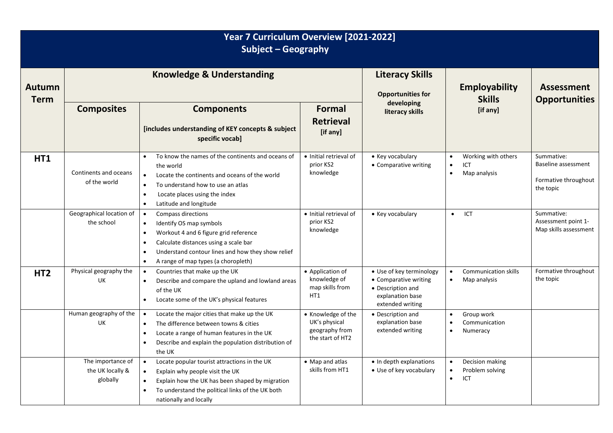| Year 7 Curriculum Overview [2021-2022]<br>Subject - Geography |                                                   |                                                                                                                                                                                                                                                                                 |                                                                           |                                                                                                                |                                                                                   |                                                                        |  |
|---------------------------------------------------------------|---------------------------------------------------|---------------------------------------------------------------------------------------------------------------------------------------------------------------------------------------------------------------------------------------------------------------------------------|---------------------------------------------------------------------------|----------------------------------------------------------------------------------------------------------------|-----------------------------------------------------------------------------------|------------------------------------------------------------------------|--|
| <b>Autumn</b><br><b>Term</b>                                  | <b>Knowledge &amp; Understanding</b>              |                                                                                                                                                                                                                                                                                 |                                                                           | <b>Literacy Skills</b><br><b>Opportunities for</b>                                                             | Employability<br><b>Skills</b>                                                    | <b>Assessment</b><br><b>Opportunities</b>                              |  |
|                                                               | <b>Composites</b>                                 | <b>Components</b><br>[includes understanding of KEY concepts & subject<br>specific vocab]                                                                                                                                                                                       | <b>Formal</b><br><b>Retrieval</b><br>[if any]                             | developing<br>literacy skills                                                                                  | [if any]                                                                          |                                                                        |  |
| <b>HT1</b>                                                    | Continents and oceans<br>of the world             | To know the names of the continents and oceans of<br>$\bullet$<br>the world<br>Locate the continents and oceans of the world<br>$\bullet$<br>To understand how to use an atlas<br>Locate places using the index<br>$\bullet$<br>Latitude and longitude<br>$\bullet$             | · Initial retrieval of<br>prior KS2<br>knowledge                          | • Key vocabulary<br>• Comparative writing                                                                      | Working with others<br>$\bullet$<br>ICT<br>$\bullet$<br>$\bullet$<br>Map analysis | Summative:<br>Baseline assessment<br>Formative throughout<br>the topic |  |
|                                                               | Geographical location of<br>the school            | Compass directions<br>$\bullet$<br>Identify OS map symbols<br>$\bullet$<br>Workout 4 and 6 figure grid reference<br>Calculate distances using a scale bar<br>$\bullet$<br>Understand contour lines and how they show relief<br>A range of map types (a choropleth)<br>$\bullet$ | • Initial retrieval of<br>prior KS2<br>knowledge                          | • Key vocabulary                                                                                               | <b>ICT</b><br>$\bullet$                                                           | Summative:<br>Assessment point 1-<br>Map skills assessment             |  |
| HT <sub>2</sub>                                               | Physical geography the<br>UK                      | Countries that make up the UK<br>$\bullet$<br>Describe and compare the upland and lowland areas<br>$\bullet$<br>of the UK<br>Locate some of the UK's physical features<br>$\bullet$                                                                                             | • Application of<br>knowledge of<br>map skills from<br>HT1                | • Use of key terminology<br>• Comparative writing<br>• Description and<br>explanation base<br>extended writing | <b>Communication skills</b><br>$\bullet$<br>Map analysis<br>$\bullet$             | Formative throughout<br>the topic                                      |  |
|                                                               | Human geography of the<br>UK                      | Locate the major cities that make up the UK<br>$\bullet$<br>The difference between towns & cities<br>$\bullet$<br>Locate a range of human features in the UK<br>$\bullet$<br>Describe and explain the population distribution of<br>$\bullet$<br>the UK                         | • Knowledge of the<br>UK's physical<br>geography from<br>the start of HT2 | • Description and<br>explanation base<br>extended writing                                                      | Group work<br>$\bullet$<br>Communication<br>Numeracy                              |                                                                        |  |
|                                                               | The importance of<br>the UK locally &<br>globally | Locate popular tourist attractions in the UK<br>$\bullet$<br>Explain why people visit the UK<br>$\bullet$<br>Explain how the UK has been shaped by migration<br>$\bullet$<br>To understand the political links of the UK both<br>$\bullet$<br>nationally and locally            | • Map and atlas<br>skills from HT1                                        | • In depth explanations<br>• Use of key vocabulary                                                             | Decision making<br>Problem solving<br>ICT<br>$\bullet$                            |                                                                        |  |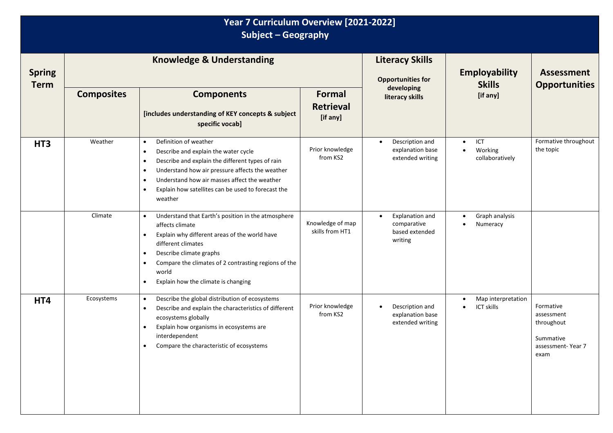| Year 7 Curriculum Overview [2021-2022]<br>Subject - Geography |                                      |                                                                                                                                                                                                                                                                                                                                                                     |                                               |                                                                          |                                                             |                                                                                 |  |  |
|---------------------------------------------------------------|--------------------------------------|---------------------------------------------------------------------------------------------------------------------------------------------------------------------------------------------------------------------------------------------------------------------------------------------------------------------------------------------------------------------|-----------------------------------------------|--------------------------------------------------------------------------|-------------------------------------------------------------|---------------------------------------------------------------------------------|--|--|
| <b>Spring</b><br><b>Term</b>                                  | <b>Knowledge &amp; Understanding</b> |                                                                                                                                                                                                                                                                                                                                                                     |                                               | <b>Literacy Skills</b><br><b>Opportunities for</b>                       | <b>Employability</b><br><b>Skills</b>                       | <b>Assessment</b><br><b>Opportunities</b>                                       |  |  |
|                                                               | <b>Composites</b>                    | <b>Components</b><br>[includes understanding of KEY concepts & subject<br>specific vocab]                                                                                                                                                                                                                                                                           | <b>Formal</b><br><b>Retrieval</b><br>[if any] | developing<br>literacy skills                                            | [if any]                                                    |                                                                                 |  |  |
| HT <sub>3</sub>                                               | Weather                              | Definition of weather<br>$\bullet$<br>Describe and explain the water cycle<br>$\bullet$<br>Describe and explain the different types of rain<br>$\bullet$<br>Understand how air pressure affects the weather<br>$\bullet$<br>Understand how air masses affect the weather<br>$\bullet$<br>Explain how satellites can be used to forecast the<br>$\bullet$<br>weather | Prior knowledge<br>from KS2                   | Description and<br>explanation base<br>extended writing                  | ICT<br>$\bullet$<br>Working<br>$\bullet$<br>collaboratively | Formative throughout<br>the topic                                               |  |  |
|                                                               | Climate                              | Understand that Earth's position in the atmosphere<br>$\bullet$<br>affects climate<br>Explain why different areas of the world have<br>different climates<br>Describe climate graphs<br>$\bullet$<br>Compare the climates of 2 contrasting regions of the<br>$\bullet$<br>world<br>Explain how the climate is changing<br>$\bullet$                                 | Knowledge of map<br>skills from HT1           | Explanation and<br>$\bullet$<br>comparative<br>based extended<br>writing | Graph analysis<br>$\bullet$<br>Numeracy<br>$\bullet$        |                                                                                 |  |  |
| HT4                                                           | Ecosystems                           | Describe the global distribution of ecosystems<br>$\bullet$<br>Describe and explain the characteristics of different<br>$\bullet$<br>ecosystems globally<br>Explain how organisms in ecosystems are<br>$\bullet$<br>interdependent<br>Compare the characteristic of ecosystems<br>$\bullet$                                                                         | Prior knowledge<br>from KS2                   | Description and<br>explanation base<br>extended writing                  | Map interpretation<br>$\bullet$<br><b>ICT skills</b>        | Formative<br>assessment<br>throughout<br>Summative<br>assessment-Year 7<br>exam |  |  |